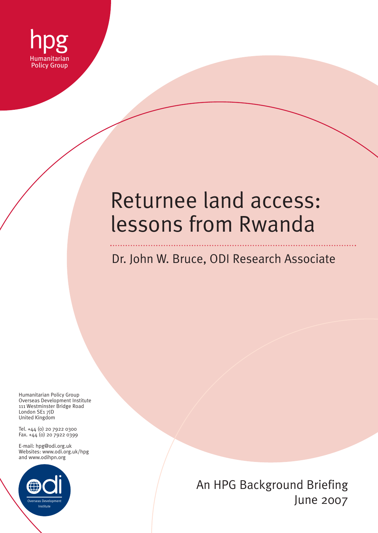

# Returnee land access: lessons from Rwanda

# Dr. John W. Bruce, ODI Research Associate

Humanitarian Policy Group Overseas Development Institute 111 Westminster Bridge Road London SE1 7JD United Kingdom

Tel. +44 (0) 20 7922 0300 Fax. +44 (0) 20 7922 0399

E-mail: hpg@odi.org.uk Websites: www.odi.org.uk/hpg and www.odihpn.org



An HPG Background Briefing June 2007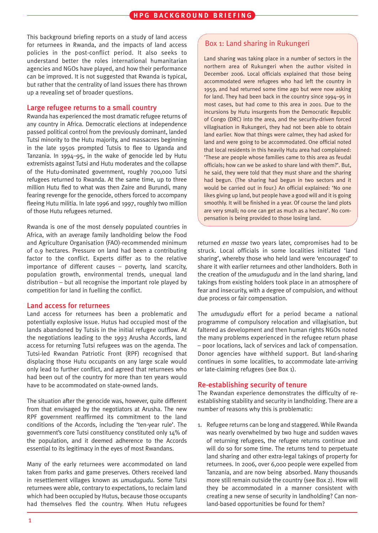This background briefing reports on a study of land access for returnees in Rwanda, and the impacts of land access policies in the post-conflict period. It also seeks to understand better the roles international humanitarian agencies and NGOs have played, and how their performance can be improved. It is not suggested that Rwanda is typical, but rather that the centrality of land issues there has thrown up a revealing set of broader questions.

#### Large refugee returns to a small country

Rwanda has experienced the most dramatic refugee returns of any country in Africa. Democratic elections at independence passed political control from the previously dominant, landed Tutsi minority to the Hutu majority, and massacres beginning in the late 1950s prompted Tutsis to flee to Uganda and Tanzania. In 1994–95, in the wake of genocide led by Hutu extremists against Tutsi and Hutu moderates and the collapse of the Hutu-dominated government, roughly 700,000 Tutsi refugees returned to Rwanda. At the same time, up to three million Hutu fled to what was then Zaire and Burundi, many fearing revenge for the genocide, others forced to accompany fleeing Hutu militia. In late 1996 and 1997, roughly two million of those Hutu refugees returned.

Rwanda is one of the most densely populated countries in Africa, with an average family landholding below the Food and Agriculture Organisation (FAO)-recommended minimum of 0.9 hectares. Pressure on land had been a contributing factor to the conflict. Experts differ as to the relative importance of different causes – poverty, land scarcity, population growth, environmental trends, unequal land distribution – but all recognise the important role played by competition for land in fuelling the conflict.

#### Land access for returnees

Land access for returnees has been a problematic and potentially explosive issue. Hutus had occupied most of the lands abandoned by Tutsis in the initial refugee outflow. At the negotiations leading to the 1993 Arusha Accords, land access for returning Tutsi refugees was on the agenda. The Tutsi-led Rwandan Patriotic Front (RPF) recognised that displacing those Hutu occupants on any large scale would only lead to further conflict, and agreed that returnees who had been out of the country for more than ten years would have to be accommodated on state-owned lands.

The situation after the genocide was, however, quite different from that envisaged by the negotiators at Arusha. The new RPF government reaffirmed its commitment to the land conditions of the Accords, including the 'ten-year rule'. The government's core Tutsi constituency constituted only 14% of the population, and it deemed adherence to the Accords essential to its legitimacy in the eyes of most Rwandans.

Many of the early returnees were accommodated on land taken from parks and game preserves. Others received land in resettlement villages known as *umudugudu*. Some Tutsi returnees were able, contrary to expectations, to reclaim land which had been occupied by Hutus, because those occupants had themselves fled the country. When Hutu refugees

#### Box 1: Land sharing in Rukungeri

Land sharing was taking place in a number of sectors in the northern area of Rukungeri when the author visited in December 2006. Local officials explained that those being accommodated were refugees who had left the country in 1959, and had returned some time ago but were now asking for land. They had been back in the country since 1994–95 in most cases, but had come to this area in 2001. Due to the incursions by Hutu insurgents from the Democratic Republic of Congo (DRC) into the area, and the security-driven forced villagisation in Rukungeri, they had not been able to obtain land earlier. Now that things were calmer, they had asked for land and were going to be accommodated. One official noted that local residents in this heavily Hutu area had complained: 'These are people whose families came to this area as feudal officials; how can we be asked to share land with them?'. But, he said, they were told that they must share and the sharing had begun. (The sharing had begun in two sectors and it would be carried out in four.) An official explained: 'No one likes giving up land, but people have a good will and it is going smoothly. It will be finished in a year. Of course the land plots are very small; no one can get as much as a hectare'. No compensation is being provided to those losing land.

returned *en masse* two years later, compromises had to be struck. Local officials in some localities initiated 'land sharing', whereby those who held land were 'encouraged' to share it with earlier returnees and other landholders. Both in the creation of the *umudugudu* and in the land sharing, land takings from existing holders took place in an atmosphere of fear and insecurity, with a degree of compulsion, and without due process or fair compensation.

The *umudugudu* effort for a period became a national programme of compulsory relocation and villagisation, but faltered as development and then human rights NGOs noted the many problems experienced in the refugee return phase – poor locations, lack of services and lack of compensation. Donor agencies have withheld support. But land-sharing continues in some localities, to accommodate late-arriving or late-claiming refugees (see Box 1).

#### Re-establishing security of tenure

The Rwandan experience demonstrates the difficulty of reestablishing stability and security in landholding. There are a number of reasons why this is problematic:

1. Refugee returns can be long and staggered. While Rwanda was nearly overwhelmed by two huge and sudden waves of returning refugees, the refugee returns continue and will do so for some time. The returns tend to perpetuate land sharing and other extra-legal takings of property for returnees. In 2006, over 6,000 people were expelled from Tanzania, and are now being absorbed. Many thousands more still remain outside the country (see Box 2). How will they be accommodated in a manner consistent with creating a new sense of security in landholding? Can nonland-based opportunities be found for them?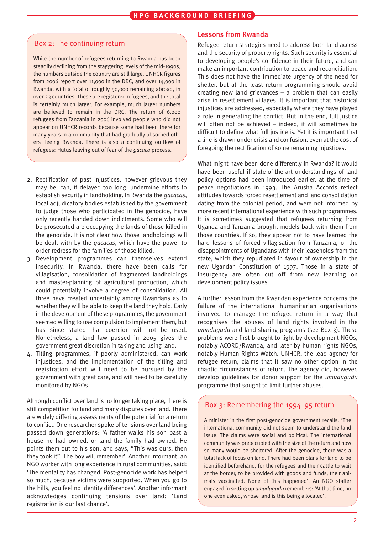#### Box 2: The continuing return

While the number of refugees returning to Rwanda has been steadily declining from the staggering levels of the mid-1990s, the numbers outside the country are still large. UNHCR figures from 2006 report over 11,000 in the DRC, and over 14,000 in Rwanda, with a total of roughly 50,000 remaining abroad, in over 23 countries. These are registered refugees, and the total is certainly much larger. For example, much larger numbers are believed to remain in the DRC. The return of 6,000 refugees from Tanzania in 2006 involved people who did not appear on UNHCR records because some had been there for many years in a community that had gradually absorbed others fleeing Rwanda. There is also a continuing outflow of refugees: Hutus leaving out of fear of the *gacaca* process.

- 2. Rectification of past injustices, however grievous they may be, can, if delayed too long, undermine efforts to establish security in landholding. In Rwanda the *gacacas*, local adjudicatory bodies established by the government to judge those who participated in the genocide, have only recently handed down indictments. Some who will be prosecuted are occupying the lands of those killed in the genocide. It is not clear how those landholdings will be dealt with by the *gacacas*, which have the power to order redress for the families of those killed.
- 3. Development programmes can themselves extend insecurity. In Rwanda, there have been calls for villagisation, consolidation of fragmented landholdings and master-planning of agricultural production, which could potentially involve a degree of consolidation. All three have created uncertainty among Rwandans as to whether they will be able to keep the land they hold. Early in the development of these programmes, the government seemed willing to use compulsion to implement them, but has since stated that coercion will not be used. Nonetheless, a land law passed in 2005 gives the government great discretion in taking and using land.
- 4. Titling programmes, if poorly administered, can work injustices, and the implementation of the titling and registration effort will need to be pursued by the government with great care, and will need to be carefully monitored by NGOs.

Although conflict over land is no longer taking place, there is still competition for land and many disputes over land. There are widely differing assessments of the potential for a return to conflict. One researcher spoke of tensions over land being passed down generations: 'A father walks his son past a house he had owned, or land the family had owned. He points them out to his son, and says, "This was ours, then they took it". The boy will remember'. Another informant, an NGO worker with long experience in rural communities, said: 'The mentality has changed. Post-genocide work has helped so much, because victims were supported. When you go to the hills, you feel no identity differences'. Another informant acknowledges continuing tensions over land: 'Land registration is our last chance'.

#### Lessons from Rwanda

Refugee return strategies need to address both land access and the security of property rights. Such security is essential to developing people's confidence in their future, and can make an important contribution to peace and reconciliation. This does not have the immediate urgency of the need for shelter, but at the least return programming should avoid creating new land grievances – a problem that can easily arise in resettlement villages. It is important that historical injustices are addressed, especially where they have played a role in generating the conflict. But in the end, full justice will often not be achieved – indeed, it will sometimes be difficult to define what full justice is. Yet it is important that a line is drawn under crisis and confusion, even at the cost of foregoing the rectification of some remaining injustices.

What might have been done differently in Rwanda? It would have been useful if state-of-the-art understandings of land policy options had been introduced earlier, at the time of peace negotiations in 1993. The Arusha Accords reflect attitudes towards forced resettlement and land consolidation dating from the colonial period, and were not informed by more recent international experience with such programmes. It is sometimes suggested that refugees returning from Uganda and Tanzania brought models back with them from those countries. If so, they appear not to have learned the hard lessons of forced villagisation from Tanzania, or the disappointments of Ugandans with their leaseholds from the state, which they repudiated in favour of ownership in the new Ugandan Constitution of 1997. Those in a state of insurgency are often cut off from new learning on development policy issues.

A further lesson from the Rwandan experience concerns the failure of the international humanitarian organisations involved to manage the refugee return in a way that recognises the abuses of land rights involved in the *umudugudu* and land-sharing programs (see Box 3). These problems were first brought to light by development NGOs, notably ACORD/Rwanda, and later by human rights NGOs, notably Human Rights Watch. UNHCR, the lead agency for refugee return, claims that it saw no other option in the chaotic circumstances of return. The agency did, however, develop guidelines for donor support for the *umudugudu* programme that sought to limit further abuses.

## Box 3: Remembering the 1994–95 return

A minister in the first post-genocide government recalls: 'The international community did not seem to understand the land issue. The claims were social and political. The international community was preoccupied with the size of the return and how so many would be sheltered. After the genocide, there was a total lack of focus on land. There had been plans for land to be identified beforehand, for the refugees and their cattle to wait at the border, to be provided with goods and funds, their animals vaccinated. None of this happened'. An NGO staffer engaged in setting up *umudugudu* remembers: 'At that time, no one even asked, whose land is this being allocated'.